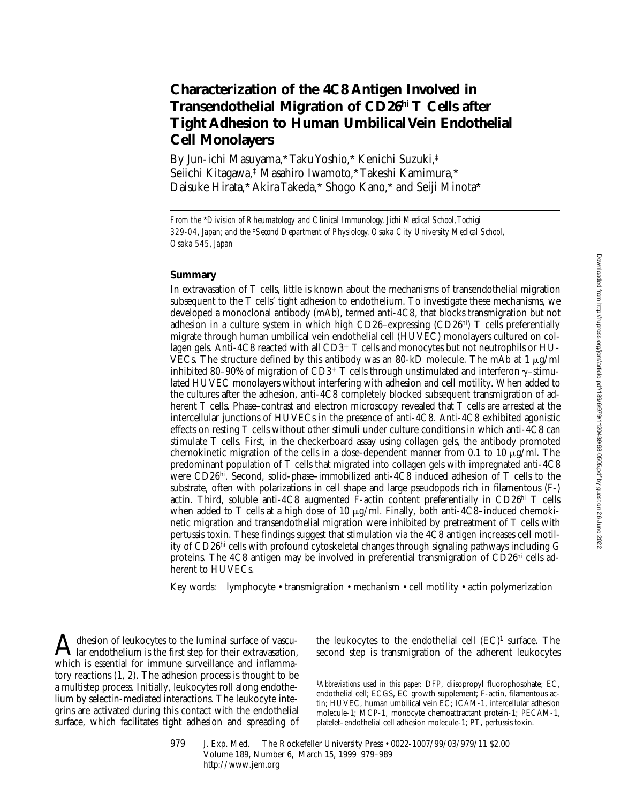# **Characterization of the 4C8 Antigen Involved in Transendothelial Migration of CD26hi T Cells after Tight Adhesion to Human Umbilical Vein Endothelial Cell Monolayers**

By Jun-ichi Masuyama,\* Taku Yoshio,\* Kenichi Suzuki,‡ Seiichi Kitagawa,‡ Masahiro Iwamoto,\* Takeshi Kamimura,\* Daisuke Hirata,\* Akira Takeda,\* Shogo Kano,\* and Seiji Minota\*

#### **Summary**

In extravasation of T cells, little is known about the mechanisms of transendothelial migration subsequent to the T cells' tight adhesion to endothelium. To investigate these mechanisms, we developed a monoclonal antibody (mAb), termed anti-4C8, that blocks transmigration but not adhesion in a culture system in which high CD26–expressing (CD26<sup>hi</sup>) T cells preferentially migrate through human umbilical vein endothelial cell (HUVEC) monolayers cultured on collagen gels. Anti-4C8 reacted with all  $CD3^+$  T cells and monocytes but not neutrophils or HU-VECs. The structure defined by this antibody was an 80-kD molecule. The mAb at 1  $\mu$ g/ml inhibited 80–90% of migration of CD3<sup>+</sup> T cells through unstimulated and interferon  $\gamma$ -stimulated HUVEC monolayers without interfering with adhesion and cell motility. When added to the cultures after the adhesion, anti-4C8 completely blocked subsequent transmigration of adherent T cells. Phase–contrast and electron microscopy revealed that T cells are arrested at the intercellular junctions of HUVECs in the presence of anti-4C8. Anti-4C8 exhibited agonistic effects on resting T cells without other stimuli under culture conditions in which anti-4C8 can stimulate T cells. First, in the checkerboard assay using collagen gels, the antibody promoted chemokinetic migration of the cells in a dose-dependent manner from 0.1 to 10  $\mu$ g/ml. The predominant population of T cells that migrated into collagen gels with impregnated anti-4C8 were CD26hi. Second, solid-phase–immobilized anti-4C8 induced adhesion of T cells to the substrate, often with polarizations in cell shape and large pseudopods rich in filamentous (F-) actin. Third, soluble anti-4C8 augmented F-actin content preferentially in CD26hi T cells when added to T cells at a high dose of 10  $\mu$ g/ml. Finally, both anti-4C8–induced chemokinetic migration and transendothelial migration were inhibited by pretreatment of T cells with pertussis toxin. These findings suggest that stimulation via the 4C8 antigen increases cell motility of CD26hi cells with profound cytoskeletal changes through signaling pathways including G proteins. The 4C8 antigen may be involved in preferential transmigration of CD26hi cells adherent to HUVECs.

Key words: lymphocyte • transmigration • mechanism • cell motility • actin polymerization

A dhesion of leukocytes to the luminal surface of vascu-<br>lar endothelium is the first step for their extravasation, which is essential for immune surveillance and inflammatory reactions (1, 2). The adhesion process is thought to be a multistep process. Initially, leukocytes roll along endothelium by selectin-mediated interactions. The leukocyte integrins are activated during this contact with the endothelial surface, which facilitates tight adhesion and spreading of

the leukocytes to the endothelial cell  $(EC)^1$  surface. The second step is transmigration of the adherent leukocytes

*From the* \**Division of Rheumatology and Clinical Immunology, Jichi Medical School, Tochigi 329-04, Japan; and the* ‡*Second Department of Physiology, Osaka City University Medical School, Osaka 545, Japan*

<sup>1</sup>*Abbreviations used in this paper:* DFP, diisopropyl fluorophosphate; EC, endothelial cell; ECGS, EC growth supplement; F-actin, filamentous actin; HUVEC, human umbilical vein EC; ICAM-1, intercellular adhesion molecule-1; MCP-1, monocyte chemoattractant protein-1; PECAM-1, platelet–endothelial cell adhesion molecule-1; PT, pertussis toxin.

<sup>979</sup> J. Exp. Med. © The Rockefeller University Press • 0022-1007/99/03/979/11 \$2.00 Volume 189, Number 6, March 15, 1999 979–989 http://www.jem.org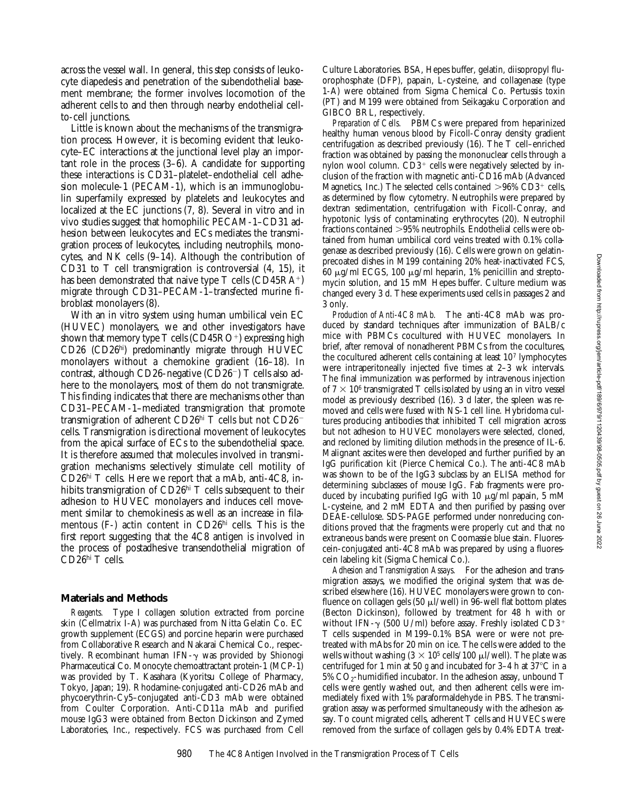across the vessel wall. In general, this step consists of leukocyte diapedesis and penetration of the subendothelial basement membrane; the former involves locomotion of the adherent cells to and then through nearby endothelial cellto-cell junctions.

Little is known about the mechanisms of the transmigration process. However, it is becoming evident that leukocyte–EC interactions at the junctional level play an important role in the process (3–6). A candidate for supporting these interactions is CD31–platelet–endothelial cell adhesion molecule-1 (PECAM-1), which is an immunoglobulin superfamily expressed by platelets and leukocytes and localized at the EC junctions (7, 8). Several in vitro and in vivo studies suggest that homophilic PECAM-1–CD31 adhesion between leukocytes and ECs mediates the transmigration process of leukocytes, including neutrophils, monocytes, and NK cells (9–14). Although the contribution of CD31 to T cell transmigration is controversial (4, 15), it has been demonstrated that naive type  $T$  cells (CD45RA<sup>+</sup>) migrate through CD31–PECAM-1–transfected murine fibroblast monolayers (8).

With an in vitro system using human umbilical vein EC (HUVEC) monolayers, we and other investigators have shown that memory type  $T$  cells (CD45RO<sup>+</sup>) expressing high CD26 (CD26hi) predominantly migrate through HUVEC monolayers without a chemokine gradient (16–18). In contrast, although CD26-negative (CD26<sup>-</sup>) T cells also adhere to the monolayers, most of them do not transmigrate. This finding indicates that there are mechanisms other than CD31–PECAM-1–mediated transmigration that promote transmigration of adherent CD26hi T cells but not CD26<sup>-</sup> cells. Transmigration is directional movement of leukocytes from the apical surface of ECs to the subendothelial space. It is therefore assumed that molecules involved in transmigration mechanisms selectively stimulate cell motility of  $CD26<sup>hi</sup>$  T cells. Here we report that a mAb, anti-4C8, inhibits transmigration of CD26<sup>hi</sup> T cells subsequent to their adhesion to HUVEC monolayers and induces cell movement similar to chemokinesis as well as an increase in filamentous (F-) actin content in CD26hi cells. This is the first report suggesting that the 4C8 antigen is involved in the process of postadhesive transendothelial migration of CD26hi T cells.

### **Materials and Methods**

*Reagents.* Type I collagen solution extracted from porcine skin (Cellmatrix I-A) was purchased from Nitta Gelatin Co. EC growth supplement (ECGS) and porcine heparin were purchased from Collaborative Research and Nakarai Chemical Co., respectively. Recombinant human IFN- $\gamma$  was provided by Shionogi Pharmaceutical Co. Monocyte chemoattractant protein-1 (MCP-1) was provided by T. Kasahara (Kyoritsu College of Pharmacy, Tokyo, Japan; 19). Rhodamine-conjugated anti-CD26 mAb and phycoerythrin-Cy5–conjugated anti-CD3 mAb were obtained from Coulter Corporation. Anti-CD11a mAb and purified mouse IgG3 were obtained from Becton Dickinson and Zymed Laboratories, Inc., respectively. FCS was purchased from Cell Culture Laboratories. BSA, Hepes buffer, gelatin, diisopropyl fluorophosphate (DFP), papain, L-cysteine, and collagenase (type 1-A) were obtained from Sigma Chemical Co. Pertussis toxin (PT) and M199 were obtained from Seikagaku Corporation and GIBCO BRL, respectively.

*Preparation of Cells.* PBMCs were prepared from heparinized healthy human venous blood by Ficoll-Conray density gradient centrifugation as described previously (16). The T cell–enriched fraction was obtained by passing the mononuclear cells through a nylon wool column.  $CD3^+$  cells were negatively selected by inclusion of the fraction with magnetic anti-CD16 mAb (Advanced Magnetics, Inc.) The selected cells contained  $>96\%$  CD3<sup>+</sup> cells, as determined by flow cytometry. Neutrophils were prepared by dextran sedimentation, centrifugation with Ficoll-Conray, and hypotonic lysis of contaminating erythrocytes (20). Neutrophil fractions contained >95% neutrophils. Endothelial cells were obtained from human umbilical cord veins treated with 0.1% collagenase as described previously (16). Cells were grown on gelatinprecoated dishes in M199 containing 20% heat-inactivated FCS, 60  $\mu$ g/ml ECGS, 100  $\mu$ g/ml heparin, 1% penicillin and streptomycin solution, and 15 mM Hepes buffer. Culture medium was changed every 3 d. These experiments used cells in passages 2 and 3 only.

*Production of Anti-4C8 mAb.* The anti-4C8 mAb was produced by standard techniques after immunization of BALB/c mice with PBMCs cocultured with HUVEC monolayers. In brief, after removal of nonadherent PBMCs from the cocultures, the cocultured adherent cells containing at least 107 lymphocytes were intraperitoneally injected five times at 2–3 wk intervals. The final immunization was performed by intravenous injection of  $7 \times 10^6$  transmigrated T cells isolated by using an in vitro vessel model as previously described (16). 3 d later, the spleen was removed and cells were fused with NS-1 cell line. Hybridoma cultures producing antibodies that inhibited T cell migration across but not adhesion to HUVEC monolayers were selected, cloned, and recloned by limiting dilution methods in the presence of IL-6. Malignant ascites were then developed and further purified by an IgG purification kit (Pierce Chemical Co.). The anti-4C8 mAb was shown to be of the IgG3 subclass by an ELISA method for determining subclasses of mouse IgG. Fab fragments were produced by incubating purified IgG with 10  $\mu$ g/ml papain, 5 mM L-cysteine, and 2 mM EDTA and then purified by passing over DEAE-cellulose. SDS-PAGE performed under nonreducing conditions proved that the fragments were properly cut and that no extraneous bands were present on Coomassie blue stain. Fluorescein-conjugated anti-4C8 mAb was prepared by using a fluorescein labeling kit (Sigma Chemical Co.).

*Adhesion and Transmigration Assays.* For the adhesion and transmigration assays, we modified the original system that was described elsewhere (16). HUVEC monolayers were grown to confluence on collagen gels (50  $\mu$ l/well) in 96-well flat bottom plates (Becton Dickinson), followed by treatment for 48 h with or without IFN- $\gamma$  (500 U/ml) before assay. Freshly isolated CD3<sup>+</sup> T cells suspended in M199–0.1% BSA were or were not pretreated with mAbs for 20 min on ice. The cells were added to the wells without washing  $(3 \times 10^5 \text{ cells}/100 \text{ }\mu\text{J}/\text{well})$ . The plate was centrifuged for 1 min at 50  $\beta$  and incubated for 3–4 h at 37 $\degree$ C in a  $5\%$  CO<sub>2</sub>-humidified incubator. In the adhesion assay, unbound T cells were gently washed out, and then adherent cells were immediately fixed with 1% paraformaldehyde in PBS. The transmigration assay was performed simultaneously with the adhesion assay. To count migrated cells, adherent T cells and HUVECs were removed from the surface of collagen gels by 0.4% EDTA treat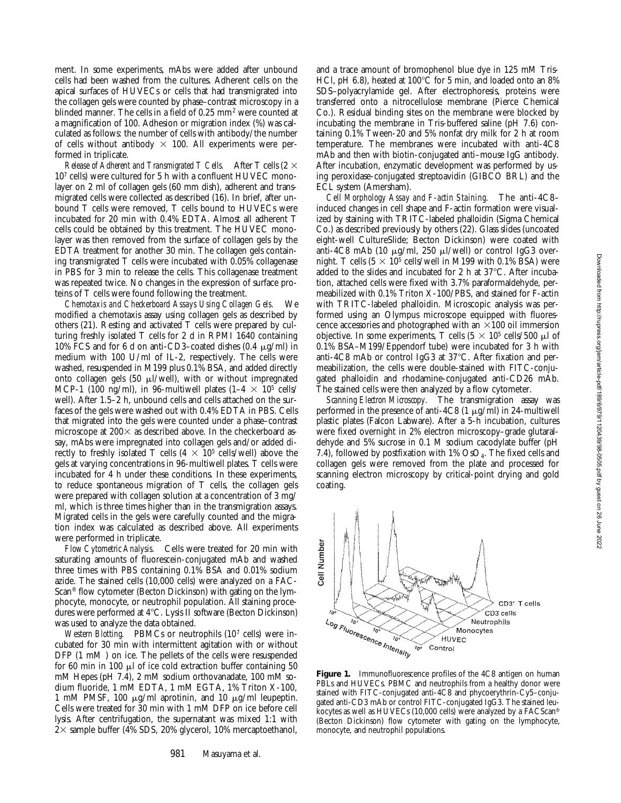ment. In some experiments, mAbs were added after unbound cells had been washed from the cultures. Adherent cells on the apical surfaces of HUVECs or cells that had transmigrated into the collagen gels were counted by phase–contrast microscopy in a blinded manner. The cells in a field of 0.25 mm<sup>2</sup> were counted at a magnification of 100. Adhesion or migration index (%) was calculated as follows: the number of cells with antibody/the number of cells without antibody  $\times$  100. All experiments were performed in triplicate.

*Release of Adherent and Transmigrated T Cells.* After T cells (2  $\times$ 107 cells) were cultured for 5 h with a confluent HUVEC monolayer on 2 ml of collagen gels (60 mm dish), adherent and transmigrated cells were collected as described (16). In brief, after unbound T cells were removed, T cells bound to HUVECs were incubated for 20 min with 0.4% EDTA. Almost all adherent T cells could be obtained by this treatment. The HUVEC monolayer was then removed from the surface of collagen gels by the EDTA treatment for another 30 min. The collagen gels containing transmigrated T cells were incubated with 0.05% collagenase in PBS for 3 min to release the cells. This collagenase treatment was repeated twice. No changes in the expression of surface proteins of T cells were found following the treatment.

*Chemotaxis and Checkerboard Assays Using Collagen Gels.* We modified a chemotaxis assay using collagen gels as described by others (21). Resting and activated T cells were prepared by culturing freshly isolated T cells for 2 d in RPMI 1640 containing 10% FCS and for 6 d on anti-CD3-coated dishes  $(0.4 \mu g/ml)$  in medium with 100 U/ml of IL-2, respectively. The cells were washed, resuspended in M199 plus 0.1% BSA, and added directly onto collagen gels (50  $\mu$ l/well), with or without impregnated MCP-1 (100 ng/ml), in 96-multiwell plates (1-4  $\times$  10<sup>5</sup> cells/ well). After 1.5–2 h, unbound cells and cells attached on the surfaces of the gels were washed out with 0.4% EDTA in PBS. Cells that migrated into the gels were counted under a phase–contrast microscope at 200 $\times$  as described above. In the checkerboard assay, mAbs were impregnated into collagen gels and/or added directly to freshly isolated T cells (4  $\times$  10<sup>5</sup> cells/well) above the gels at varying concentrations in 96-multiwell plates. T cells were incubated for 4 h under these conditions. In these experiments, to reduce spontaneous migration of T cells, the collagen gels were prepared with collagen solution at a concentration of 3 mg/ ml, which is three times higher than in the transmigration assays. Migrated cells in the gels were carefully counted and the migration index was calculated as described above. All experiments were performed in triplicate.

*Flow Cytometric Analysis.* Cells were treated for 20 min with saturating amounts of fluorescein-conjugated mAb and washed three times with PBS containing 0.1% BSA and 0.01% sodium azide. The stained cells (10,000 cells) were analyzed on a FAC-Scan® flow cytometer (Becton Dickinson) with gating on the lymphocyte, monocyte, or neutrophil population. All staining procedures were performed at 4°C. Lysis II software (Becton Dickinson) was used to analyze the data obtained.

*Western Blotting.* PBMCs or neutrophils (10<sup>7</sup> cells) were incubated for 30 min with intermittent agitation with or without DFP (1 mM ) on ice. The pellets of the cells were resuspended for 60 min in 100  $\mu$  of ice cold extraction buffer containing 50 mM Hepes (pH 7.4), 2 mM sodium orthovanadate, 100 mM sodium fluoride, 1 mM EDTA, 1 mM EGTA, 1% Triton X-100, 1 mM PMSF, 100  $\mu$ g/ml aprotinin, and 10  $\mu$ g/ml leupeptin. Cells were treated for 30 min with 1 mM DFP on ice before cell lysis. After centrifugation, the supernatant was mixed 1:1 with  $2\times$  sample buffer (4% SDS, 20% glycerol, 10% mercaptoethanol,

and a trace amount of bromophenol blue dye in 125 mM Tris-HCl, pH 6.8), heated at  $100^{\circ}$ C for 5 min, and loaded onto an 8% SDS–polyacrylamide gel. After electrophoresis, proteins were transferred onto a nitrocellulose membrane (Pierce Chemical Co.). Residual binding sites on the membrane were blocked by incubating the membrane in Tris-buffered saline (pH 7.6) containing 0.1% Tween-20 and 5% nonfat dry milk for 2 h at room temperature. The membranes were incubated with anti-4C8 mAb and then with biotin-conjugated anti–mouse IgG antibody. After incubation, enzymatic development was performed by using peroxidase-conjugated streptoavidin (GIBCO BRL) and the ECL system (Amersham).

*Cell Morphology Assay and F-actin Staining.* The anti-4C8– induced changes in cell shape and F-actin formation were visualized by staining with TRITC-labeled phalloidin (Sigma Chemical Co.) as described previously by others (22). Glass slides (uncoated eight-well CultureSlide; Becton Dickinson) were coated with anti-4C8 mAb (10  $\mu$ g/ml, 250  $\mu$ l/well) or control IgG3 overnight. T cells (5  $\times$  10<sup>5</sup> cells/well in M199 with 0.1% BSA) were added to the slides and incubated for 2 h at  $37^{\circ}$ C. After incubation, attached cells were fixed with 3.7% paraformaldehyde, permeabilized with 0.1% Triton X-100/PBS, and stained for F-actin with TRITC-labeled phalloidin. Microscopic analysis was performed using an Olympus microscope equipped with fluorescence accessories and photographed with an  $\times 100$  oil immersion objective. In some experiments, T cells  $(5 \times 10^5 \text{ cells}/500 \text{ }\mu\text{l of}$ 0.1% BSA–M199/Eppendorf tube) were incubated for 3 h with anti-4C8 mAb or control IgG3 at 37°C. After fixation and permeabilization, the cells were double-stained with FITC-conjugated phalloidin and rhodamine-conjugated anti-CD26 mAb. The stained cells were then analyzed by a flow cytometer.

*Scanning Electron Microscopy.* The transmigration assay was performed in the presence of anti-4C8 (1  $\mu$ g/ml) in 24-multiwell plastic plates (Falcon Labware). After a 5-h incubation, cultures were fixed overnight in 2% electron microscopy–grade glutaraldehyde and 5% sucrose in 0.1 M sodium cacodylate buffer (pH 7.4), followed by postfixation with  $1\%$  OsO<sub>4</sub>. The fixed cells and collagen gels were removed from the plate and processed for scanning electron microscopy by critical-point drying and gold coating.

Cell Number



 $10<sub>1</sub>$ 

**HUVEC** Control

CD3<sup>+</sup> T cells CD3 cells

Neutrophils Monocytes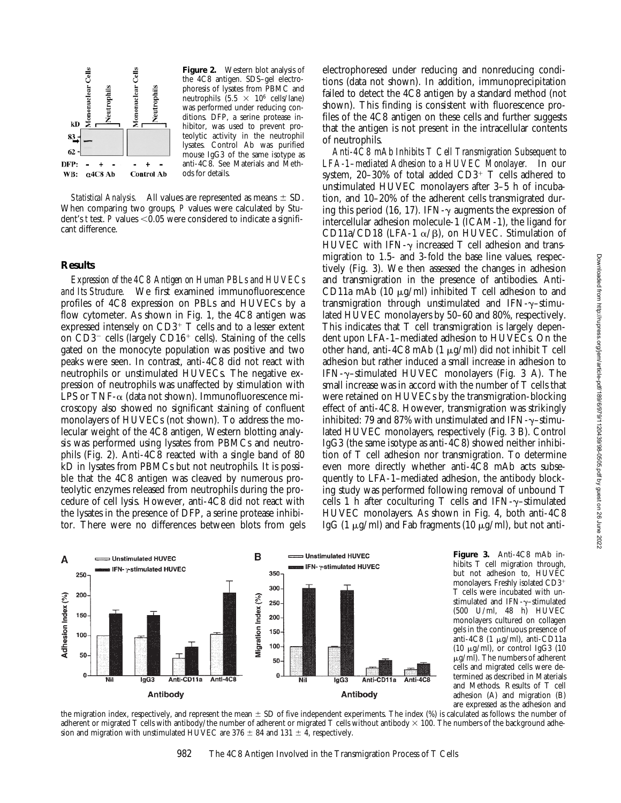

**Figure 2.** Western blot analysis of the 4C8 antigen. SDS–gel electrophoresis of lysates from PBMC and neutrophils  $(5.5 \times 10^6 \text{ cells/lane})$ was performed under reducing conditions. DFP, a serine protease inhibitor, was used to prevent proteolytic activity in the neutrophil lysates. Control Ab was purified mouse IgG3 of the same isotype as anti-4C8. See Materials and Methods for details.

*Statistical Analysis.* All values are represented as means  $\pm$  SD. When comparing two groups, *P* values were calculated by Student's *t* test. *P* values  $\leq 0.05$  were considered to indicate a significant difference.

### **Results**

*Expression of the 4C8 Antigen on Human PBLs and HUVECs and Its Structure.* We first examined immunofluorescence profiles of 4C8 expression on PBLs and HUVECs by a flow cytometer. As shown in Fig. 1, the 4C8 antigen was expressed intensely on  $CD3^+$  T cells and to a lesser extent on  $CD3^-$  cells (largely  $CD16^+$  cells). Staining of the cells gated on the monocyte population was positive and two peaks were seen. In contrast, anti-4C8 did not react with neutrophils or unstimulated HUVECs. The negative expression of neutrophils was unaffected by stimulation with LPS or TNF- $\alpha$  (data not shown). Immunofluorescence microscopy also showed no significant staining of confluent monolayers of HUVECs (not shown). To address the molecular weight of the 4C8 antigen, Western blotting analysis was performed using lysates from PBMCs and neutrophils (Fig. 2). Anti-4C8 reacted with a single band of 80 kD in lysates from PBMCs but not neutrophils. It is possible that the 4C8 antigen was cleaved by numerous proteolytic enzymes released from neutrophils during the procedure of cell lysis. However, anti-4C8 did not react with the lysates in the presence of DFP, a serine protease inhibitor. There were no differences between blots from gels

electrophoresed under reducing and nonreducing conditions (data not shown). In addition, immunoprecipitation failed to detect the 4C8 antigen by a standard method (not shown). This finding is consistent with fluorescence profiles of the 4C8 antigen on these cells and further suggests that the antigen is not present in the intracellular contents of neutrophils.

*Anti-4C8 mAb Inhibits T Cell Transmigration Subsequent to LFA-1–mediated Adhesion to a HUVEC Monolayer.* In our system, 20–30% of total added  $CD3^+$  T cells adhered to unstimulated HUVEC monolayers after 3–5 h of incubation, and 10–20% of the adherent cells transmigrated during this period (16, 17). IFN- $\gamma$  augments the expression of intercellular adhesion molecule-1 (ICAM-1), the ligand for CD11a/CD18 (LFA-1  $\alpha$ / $\beta$ ), on HUVEC. Stimulation of HUVEC with IFN- $\gamma$  increased T cell adhesion and transmigration to 1.5- and 3-fold the base line values, respectively (Fig. 3). We then assessed the changes in adhesion and transmigration in the presence of antibodies. Anti-CD11a mAb (10  $\mu$ g/ml) inhibited T cell adhesion to and transmigration through unstimulated and IFN- $\gamma$ -stimulated HUVEC monolayers by 50–60 and 80%, respectively. This indicates that T cell transmigration is largely dependent upon LFA-1–mediated adhesion to HUVECs. On the other hand, anti-4C8 mAb  $(1 \mu g/ml)$  did not inhibit T cell adhesion but rather induced a small increase in adhesion to IFN- $\gamma$ -stimulated HUVEC monolayers (Fig. 3 A). The small increase was in accord with the number of T cells that were retained on HUVECs by the transmigration-blocking effect of anti-4C8. However, transmigration was strikingly inhibited: 79 and 87% with unstimulated and IFN- $\nu$ –stimulated HUVEC monolayers, respectively (Fig. 3 B). Control IgG3 (the same isotype as anti-4C8) showed neither inhibition of T cell adhesion nor transmigration. To determine even more directly whether anti-4C8 mAb acts subsequently to LFA-1–mediated adhesion, the antibody blocking study was performed following removal of unbound T cells 1 h after coculturing T cells and IFN- $\gamma$ -stimulated HUVEC monolayers. As shown in Fig. 4, both anti-4C8 IgG (1  $\mu$ g/ml) and Fab fragments (10  $\mu$ g/ml), but not anti-



**Figure 3.** Anti-4C8 mAb inhibits T cell migration through, but not adhesion to, HUVEC monolayers. Freshly isolated CD3<sup>+</sup> T cells were incubated with unstimulated and IFN- $\gamma$ -stimulated (500 U/ml, 48 h) HUVEC monolayers cultured on collagen gels in the continuous presence of anti-4C8  $(1 \mu g/ml)$ , anti-CD11a (10  $\mu$ g/ml), or control IgG3 (10  $\mu$ g/ml). The numbers of adherent cells and migrated cells were determined as described in Materials and Methods. Results of T cell adhesion (A) and migration (B) are expressed as the adhesion and

the migration index, respectively, and represent the mean  $\pm$  SD of five independent experiments. The index  $(\%)$  is calculated as follows: the number of adherent or migrated T cells with antibody/the number of adherent or migrated T cells without antibody  $\times$  100. The numbers of the background adhesion and migration with unstimulated HUVEC are  $376 \pm 84$  and  $131 \pm 4$ , respectively.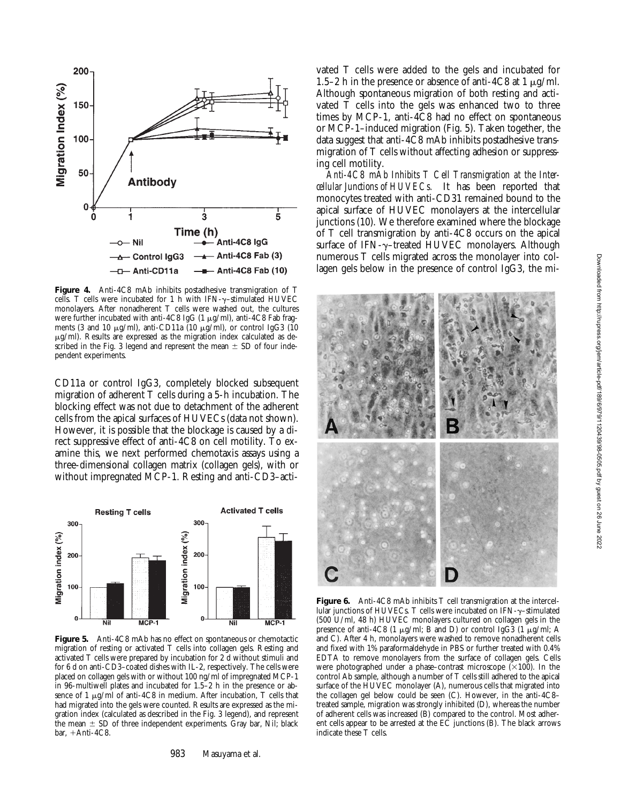

**Figure 4.** Anti-4C8 mAb inhibits postadhesive transmigration of T cells. T cells were incubated for 1 h with IFN- $\gamma$ -stimulated HUVEC monolayers. After nonadherent T cells were washed out, the cultures were further incubated with anti-4C8 IgG (1  $\mu$ g/ml), anti-4C8 Fab fragments (3 and 10  $\mu$ g/ml), anti-CD11a (10  $\mu$ g/ml), or control IgG3 (10  $\mu$ g/ml). Results are expressed as the migration index calculated as described in the Fig. 3 legend and represent the mean  $\pm$  SD of four independent experiments.

CD11a or control IgG3, completely blocked subsequent migration of adherent T cells during a 5-h incubation. The blocking effect was not due to detachment of the adherent cells from the apical surfaces of HUVECs (data not shown). However, it is possible that the blockage is caused by a direct suppressive effect of anti-4C8 on cell motility. To examine this, we next performed chemotaxis assays using a three-dimensional collagen matrix (collagen gels), with or without impregnated MCP-1. Resting and anti-CD3–acti-



**Figure 5.** Anti-4C8 mAb has no effect on spontaneous or chemotactic migration of resting or activated T cells into collagen gels. Resting and activated T cells were prepared by incubation for 2 d without stimuli and for 6 d on anti-CD3–coated dishes with IL-2, respectively. The cells were placed on collagen gels with or without 100 ng/ml of impregnated MCP-1 in 96-multiwell plates and incubated for 1.5–2 h in the presence or absence of 1  $\mu$ g/ml of anti-4C8 in medium. After incubation, T cells that had migrated into the gels were counted. Results are expressed as the migration index (calculated as described in the Fig. 3 legend), and represent the mean  $\pm$  SD of three independent experiments. Gray bar, Nil; black bar,  $+A$ nti-4C8.

vated T cells were added to the gels and incubated for 1.5–2 h in the presence or absence of anti-4C8 at 1  $\mu$ g/ml. Although spontaneous migration of both resting and activated  $\overline{T}$  cells into the gels was enhanced two to three times by MCP-1, anti-4C8 had no effect on spontaneous or MCP-1–induced migration (Fig. 5). Taken together, the data suggest that anti-4C8 mAb inhibits postadhesive transmigration of T cells without affecting adhesion or suppressing cell motility.

*Anti-4C8 mAb Inhibits T Cell Transmigration at the Intercellular Junctions of HUVECs.* It has been reported that monocytes treated with anti-CD31 remained bound to the apical surface of HUVEC monolayers at the intercellular junctions (10). We therefore examined where the blockage of T cell transmigration by anti-4C8 occurs on the apical surface of IFN-y-treated HUVEC monolayers. Although numerous T cells migrated across the monolayer into collagen gels below in the presence of control IgG3, the mi-



Figure 6. Anti-4C8 mAb inhibits T cell transmigration at the intercellular junctions of HUVECs. T cells were incubated on IFN- $\gamma$ -stimulated (500 U/ml, 48 h) HUVEC monolayers cultured on collagen gels in the presence of anti-4C8 (1  $\mu$ g/ml; B and D) or control IgG3 (1  $\mu$ g/ml; A and C). After 4 h, monolayers were washed to remove nonadherent cells and fixed with 1% paraformaldehyde in PBS or further treated with 0.4% EDTA to remove monolayers from the surface of collagen gels. Cells were photographed under a phase–contrast microscope  $(\times 100)$ . In the control Ab sample, although a number of T cells still adhered to the apical surface of the HUVEC monolayer (A), numerous cells that migrated into the collagen gel below could be seen (C). However, in the anti-4C8– treated sample, migration was strongly inhibited (D), whereas the number of adherent cells was increased (B) compared to the control. Most adherent cells appear to be arrested at the EC junctions (B). The black arrows indicate these T cells.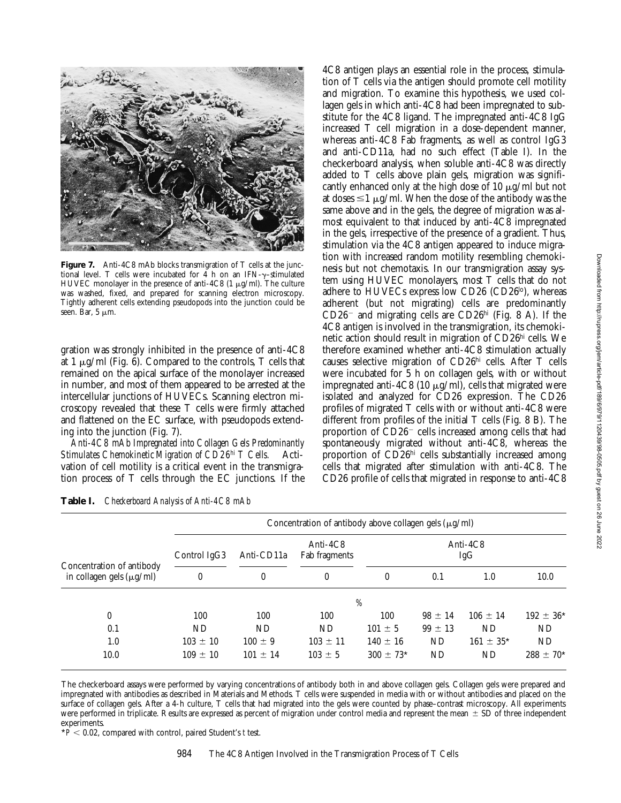

**Figure 7.** Anti-4C8 mAb blocks transmigration of T cells at the junctional level. T cells were incubated for 4 h on an IFN- $\gamma$ -stimulated HUVEC monolayer in the presence of anti-4C8 (1  $\mu$ g/ml). The culture was washed, fixed, and prepared for scanning electron microscopy. Tightly adherent cells extending pseudopods into the junction could be seen. Bar,  $5 \mu m$ .

gration was strongly inhibited in the presence of anti-4C8 at 1  $\mu$ g/ml (Fig. 6). Compared to the controls, T cells that remained on the apical surface of the monolayer increased in number, and most of them appeared to be arrested at the intercellular junctions of HUVECs. Scanning electron microscopy revealed that these T cells were firmly attached and flattened on the EC surface, with pseudopods extending into the junction (Fig. 7).

*Anti-4C8 mAb Impregnated into Collagen Gels Predominantly Stimulates Chemokinetic Migration of CD26hi T Cells.* Activation of cell motility is a critical event in the transmigration process of T cells through the EC junctions. If the

4C8 antigen plays an essential role in the process, stimulation of T cells via the antigen should promote cell motility and migration. To examine this hypothesis, we used collagen gels in which anti-4C8 had been impregnated to substitute for the 4C8 ligand. The impregnated anti-4C8 IgG increased T cell migration in a dose-dependent manner, whereas anti-4C8 Fab fragments, as well as control IgG3 and anti-CD11a, had no such effect (Table I). In the checkerboard analysis, when soluble anti-4C8 was directly added to T cells above plain gels, migration was significantly enhanced only at the high dose of 10  $\mu$ g/ml but not at doses  $\leq 1$   $\mu$ g/ml. When the dose of the antibody was the same above and in the gels, the degree of migration was almost equivalent to that induced by anti-4C8 impregnated in the gels, irrespective of the presence of a gradient. Thus, stimulation via the 4C8 antigen appeared to induce migration with increased random motility resembling chemokinesis but not chemotaxis. In our transmigration assay system using HUVEC monolayers, most T cells that do not adhere to HUVECs express low CD26 (CD26 $\text{^{lo}}$ ), whereas adherent (but not migrating) cells are predominantly  $CD26$ <sup>-</sup> and migrating cells are  $CD26$ <sup>hi</sup> (Fig. 8 A). If the 4C8 antigen is involved in the transmigration, its chemokinetic action should result in migration of CD26hi cells. We therefore examined whether anti-4C8 stimulation actually causes selective migration of CD26hi cells. After T cells were incubated for 5 h on collagen gels, with or without impregnated anti-4C8 (10  $\mu$ g/ml), cells that migrated were isolated and analyzed for CD26 expression. The CD26 profiles of migrated T cells with or without anti-4C8 were different from profiles of the initial T cells (Fig. 8 B). The proportion of  $CD26$ <sup>-</sup> cells increased among cells that had spontaneously migrated without anti-4C8, whereas the proportion of CD26hi cells substantially increased among cells that migrated after stimulation with anti-4C8. The CD26 profile of cells that migrated in response to anti-4C8

| Concentration of antibody<br>in collagen gels $(\mu g/ml)$ | Concentration of antibody above collagen gels $(\mu g/ml)$ |                                |                                               |                    |             |                |                |
|------------------------------------------------------------|------------------------------------------------------------|--------------------------------|-----------------------------------------------|--------------------|-------------|----------------|----------------|
|                                                            | Control IgG3<br>$\boldsymbol{0}$                           | Anti-CD11a<br>$\boldsymbol{0}$ | Anti-4C8<br>Fab fragments<br>$\boldsymbol{0}$ | Anti- $4C8$<br>IgG |             |                |                |
|                                                            |                                                            |                                |                                               | $\theta$           | 0.1         | 1.0            | 10.0           |
|                                                            | %                                                          |                                |                                               |                    |             |                |                |
| $\mathbf{0}$                                               | 100                                                        | 100                            | 100                                           | 100                | $98 \pm 14$ | $106 \pm 14$   | $192 \pm 36^*$ |
| 0.1                                                        | ND                                                         | ND                             | ND                                            | $101 \pm 5$        | $99 \pm 13$ | ND             | ND             |
| 1.0                                                        | $103 \pm 10$                                               | $100 \pm 9$                    | $103 \pm 11$                                  | $140 \pm 16$       | ND          | $161 \pm 35^*$ | ND             |
| 10.0                                                       | $109 \pm 10$                                               | $101 \pm 14$                   | $103 \pm 5$                                   | $300 \pm 73*$      | ND          | ND.            | $288 \pm 70^*$ |

**Table I.** *Checkerboard Analysis of Anti-4C8 mAb*

The checkerboard assays were performed by varying concentrations of antibody both in and above collagen gels. Collagen gels were prepared and impregnated with antibodies as described in Materials and Methods. T cells were suspended in media with or without antibodies and placed on the surface of collagen gels. After a 4-h culture, T cells that had migrated into the gels were counted by phase–contrast microscopy. All experiments were performed in triplicate. Results are expressed as percent of migration under control media and represent the mean  $\pm$  SD of three independent experiments.

 $*P < 0.02$ , compared with control, paired Student's *t* test.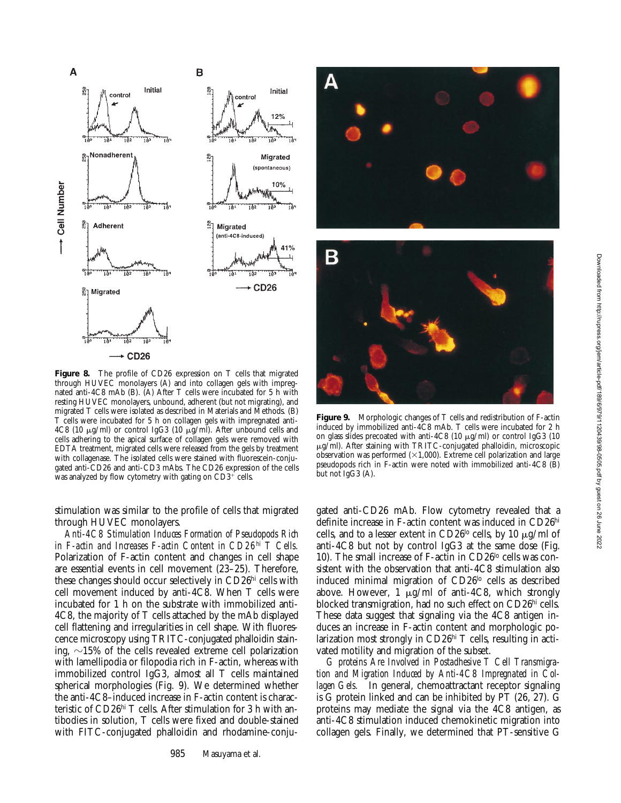

**Figure 8.** The profile of CD26 expression on T cells that migrated through HUVEC monolayers (A) and into collagen gels with impregnated anti-4C8 mAb (B). (A) After T cells were incubated for 5 h with resting HUVEC monolayers, unbound, adherent (but not migrating), and migrated T cells were isolated as described in Materials and Methods. (B) T cells were incubated for 5 h on collagen gels with impregnated anti-4C8 (10  $\mu$ g/ml) or control IgG3 (10  $\mu$ g/ml). After unbound cells and cells adhering to the apical surface of collagen gels were removed with EDTA treatment, migrated cells were released from the gels by treatment with collagenase. The isolated cells were stained with fluorescein-conjugated anti-CD26 and anti-CD3 mAbs. The CD26 expression of the cells was analyzed by flow cytometry with gating on  $CD3^+$  cells.

stimulation was similar to the profile of cells that migrated through HUVEC monolayers.

*Anti-4C8 Stimulation Induces Formation of Pseudopods Rich in F-actin and Increases F-actin Content in CD26hi T Cells.* Polarization of F-actin content and changes in cell shape are essential events in cell movement (23–25). Therefore, these changes should occur selectively in CD26hi cells with cell movement induced by anti-4C8. When T cells were incubated for 1 h on the substrate with immobilized anti-4C8, the majority of T cells attached by the mAb displayed cell flattening and irregularities in cell shape. With fluorescence microscopy using TRITC-conjugated phalloidin staining,  $\sim$ 15% of the cells revealed extreme cell polarization with lamellipodia or filopodia rich in F-actin, whereas with immobilized control IgG3, almost all T cells maintained spherical morphologies (Fig. 9). We determined whether the anti-4C8–induced increase in F-actin content is characteristic of CD26hi T cells. After stimulation for 3 h with antibodies in solution, T cells were fixed and double-stained with FITC-conjugated phalloidin and rhodamine-conju-



**Figure 9.** Morphologic changes of T cells and redistribution of F-actin induced by immobilized anti-4C8 mAb. T cells were incubated for 2 h on glass slides precoated with anti-4C8 (10  $\mu$ g/ml) or control IgG3 (10 mg/ml). After staining with TRITC-conjugated phalloidin, microscopic observation was performed  $(\times1,000)$ . Extreme cell polarization and large pseudopods rich in F-actin were noted with immobilized anti-4C8 (B) but not IgG3 (A).

gated anti-CD26 mAb. Flow cytometry revealed that a definite increase in F-actin content was induced in CD26hi cells, and to a lesser extent in CD26<sup>lo</sup> cells, by 10  $\mu$ g/ml of anti-4C8 but not by control IgG3 at the same dose (Fig. 10). The small increase of F-actin in CD26<sup>lo</sup> cells was consistent with the observation that anti-4C8 stimulation also induced minimal migration of CD26<sup>lo</sup> cells as described above. However,  $1 \mu g/ml$  of anti-4C8, which strongly blocked transmigration, had no such effect on CD26hi cells. These data suggest that signaling via the 4C8 antigen induces an increase in F-actin content and morphologic polarization most strongly in CD26<sup>hi</sup> T cells, resulting in activated motility and migration of the subset.

*G proteins Are Involved in Postadhesive T Cell Transmigration and Migration Induced by Anti-4C8 Impregnated in Collagen Gels.* In general, chemoattractant receptor signaling is G protein linked and can be inhibited by PT (26, 27). G proteins may mediate the signal via the 4C8 antigen, as anti-4C8 stimulation induced chemokinetic migration into collagen gels. Finally, we determined that PT-sensitive G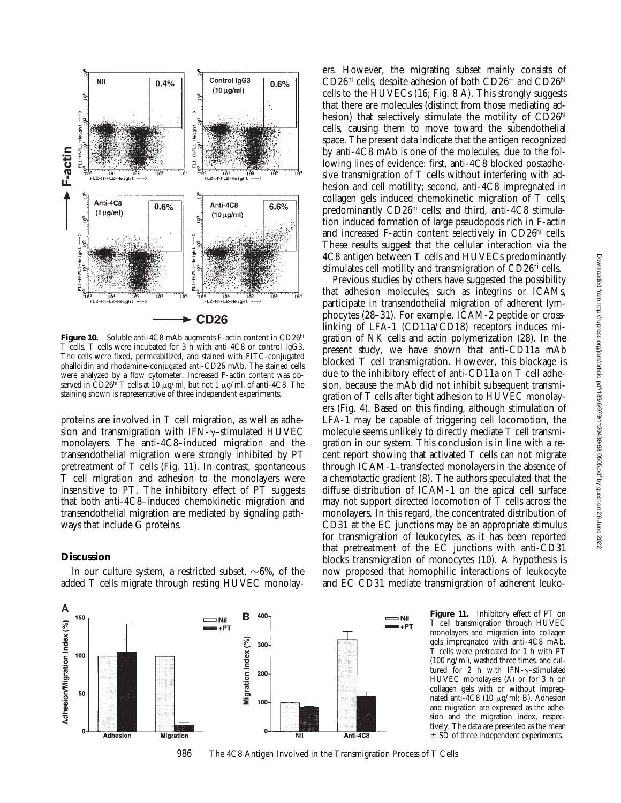

Figure 10. Soluble anti-4C8 mAb augments F-actin content in CD26hi T cells. T cells were incubated for 3 h with anti-4C8 or control IgG3. The cells were fixed, permeabilized, and stained with FITC-conjugated phalloidin and rhodamine-conjugated anti-CD26 mAb. The stained cells were analyzed by a flow cytometer. Increased F-actin content was observed in CD26hi T cells at 10  $\mu$ g/ml, but not 1  $\mu$ g/ml, of anti-4C8. The staining shown is representative of three independent experiments.

proteins are involved in T cell migration, as well as adhesion and transmigration with IFN- $\gamma$ -stimulated HUVEC monolayers. The anti-4C8–induced migration and the transendothelial migration were strongly inhibited by PT pretreatment of T cells (Fig. 11). In contrast, spontaneous T cell migration and adhesion to the monolayers were insensitive to PT. The inhibitory effect of PT suggests that both anti-4C8–induced chemokinetic migration and transendothelial migration are mediated by signaling pathways that include G proteins.

## **Discussion**

A

Adhesion/Migration Index (%)

In our culture system, a restricted subset,  $\sim 6\%$ , of the added T cells migrate through resting HUVEC monolay-



**Figure 11.** Inhibitory effect of PT on T cell transmigration through HUVEC monolayers and migration into collagen gels impregnated with anti-4C8 mAb. T cells were pretreated for 1 h with PT (100 ng/ml), washed three times, and cultured for 2 h with IFN- $\gamma$ -stimulated HUVEC monolayers (A) or for 3 h on collagen gels with or without impregnated anti-4C8 (10  $\mu$ g/ml; B). Adhesion and migration are expressed as the adhesion and the migration index, respectively. The data are presented as the mean

 $\pm$  SD of three independent experiments.



ers. However, the migrating subset mainly consists of CD26hi cells, despite adhesion of both CD26<sup>-</sup> and CD26hi cells to the HUVECs (16; Fig. 8 A). This strongly suggests that there are molecules (distinct from those mediating adhesion) that selectively stimulate the motility of CD26hi cells, causing them to move toward the subendothelial space. The present data indicate that the antigen recognized by anti-4C8 mAb is one of the molecules, due to the following lines of evidence: first, anti-4C8 blocked postadhesive transmigration of T cells without interfering with adhesion and cell motility; second, anti-4C8 impregnated in collagen gels induced chemokinetic migration of T cells, predominantly CD26hi cells; and third, anti-4C8 stimulation induced formation of large pseudopods rich in F-actin and increased F-actin content selectively in CD26hi cells. These results suggest that the cellular interaction via the 4C8 antigen between T cells and HUVECs predominantly stimulates cell motility and transmigration of CD26hi cells.

Previous studies by others have suggested the possibility that adhesion molecules, such as integrins or ICAMs, participate in transendothelial migration of adherent lymphocytes (28–31). For example, ICAM-2 peptide or crosslinking of LFA-1 (CD11a/CD18) receptors induces migration of NK cells and actin polymerization (28). In the present study, we have shown that anti-CD11a mAb blocked T cell transmigration. However, this blockage is due to the inhibitory effect of anti-CD11a on T cell adhesion, because the mAb did not inhibit subsequent transmigration of T cells after tight adhesion to HUVEC monolayers (Fig. 4). Based on this finding, although stimulation of LFA-1 may be capable of triggering cell locomotion, the molecule seems unlikely to directly mediate T cell transmigration in our system. This conclusion is in line with a recent report showing that activated T cells can not migrate through ICAM-1–transfected monolayers in the absence of a chemotactic gradient (8). The authors speculated that the diffuse distribution of ICAM-1 on the apical cell surface may not support directed locomotion of  $\overline{T}$  cells across the monolayers. In this regard, the concentrated distribution of CD31 at the EC junctions may be an appropriate stimulus for transmigration of leukocytes, as it has been reported that pretreatment of the EC junctions with anti-CD31 blocks transmigration of monocytes (10). A hypothesis is now proposed that homophilic interactions of leukocyte and EC CD31 mediate transmigration of adherent leuko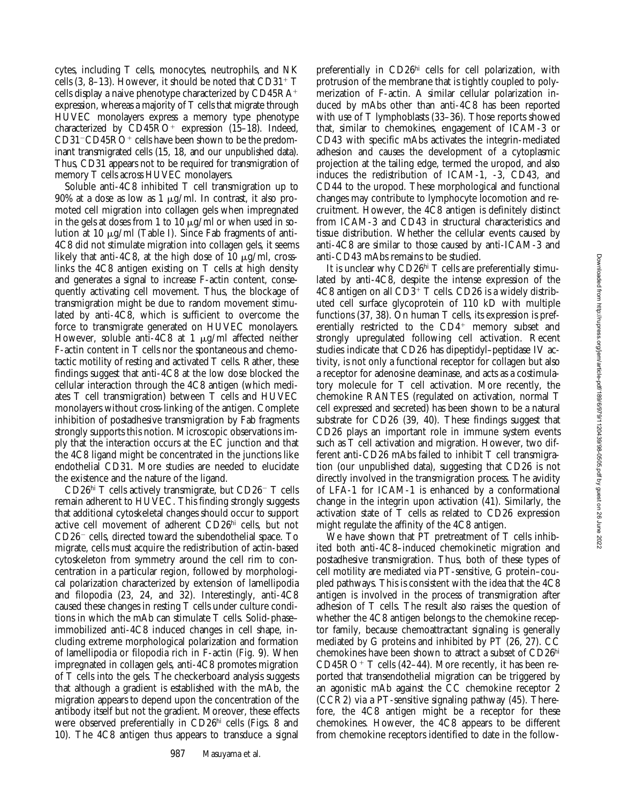cytes, including T cells, monocytes, neutrophils, and NK cells  $(3, 8-13)$ . However, it should be noted that CD31<sup>+</sup> T cells display a naive phenotype characterized by  $CD45RA^+$ expression, whereas a majority of T cells that migrate through HUVEC monolayers express a memory type phenotype characterized by  $CD45RO<sup>+</sup>$  expression (15–18). Indeed,  $CD31$ <sup>-</sup> $CD45RO+$  cells have been shown to be the predominant transmigrated cells (15, 18, and our unpublished data). Thus, CD31 appears not to be required for transmigration of memory T cells across HUVEC monolayers.

Soluble anti-4C8 inhibited T cell transmigration up to 90% at a dose as low as  $1 \mu g/ml$ . In contrast, it also promoted cell migration into collagen gels when impregnated in the gels at doses from 1 to 10  $\mu$ g/ml or when used in solution at 10 μg/ml (Table I). Since Fab fragments of anti-4C8 did not stimulate migration into collagen gels, it seems likely that anti-4C8, at the high dose of 10  $\mu$ g/ml, crosslinks the 4C8 antigen existing on T cells at high density and generates a signal to increase F-actin content, consequently activating cell movement. Thus, the blockage of transmigration might be due to random movement stimulated by anti-4C8, which is sufficient to overcome the force to transmigrate generated on HUVEC monolayers. However, soluble anti-4C8 at 1  $\mu$ g/ml affected neither F-actin content in T cells nor the spontaneous and chemotactic motility of resting and activated T cells. Rather, these findings suggest that anti-4C8 at the low dose blocked the cellular interaction through the 4C8 antigen (which mediates T cell transmigration) between T cells and HUVEC monolayers without cross-linking of the antigen. Complete inhibition of postadhesive transmigration by Fab fragments strongly supports this notion. Microscopic observations imply that the interaction occurs at the EC junction and that the 4C8 ligand might be concentrated in the junctions like endothelial CD31. More studies are needed to elucidate the existence and the nature of the ligand.

 $CD26<sup>hi</sup>$  T cells actively transmigrate, but  $CD26<sup>-</sup>$  T cells remain adherent to HUVEC. This finding strongly suggests that additional cytoskeletal changes should occur to support active cell movement of adherent CD26hi cells, but not  $CD26$ <sup>-</sup> cells, directed toward the subendothelial space. To migrate, cells must acquire the redistribution of actin-based cytoskeleton from symmetry around the cell rim to concentration in a particular region, followed by morphological polarization characterized by extension of lamellipodia and filopodia (23, 24, and 32). Interestingly, anti-4C8 caused these changes in resting T cells under culture conditions in which the mAb can stimulate T cells. Solid-phase– immobilized anti-4C8 induced changes in cell shape, including extreme morphological polarization and formation of lamellipodia or filopodia rich in F-actin (Fig. 9). When impregnated in collagen gels, anti-4C8 promotes migration of T cells into the gels. The checkerboard analysis suggests that although a gradient is established with the mAb, the migration appears to depend upon the concentration of the antibody itself but not the gradient. Moreover, these effects were observed preferentially in CD26<sup>hi</sup> cells (Figs. 8 and 10). The 4C8 antigen thus appears to transduce a signal

preferentially in CD26hi cells for cell polarization, with protrusion of the membrane that is tightly coupled to polymerization of F-actin. A similar cellular polarization induced by mAbs other than anti-4C8 has been reported with use of T lymphoblasts (33–36). Those reports showed that, similar to chemokines, engagement of ICAM-3 or CD43 with specific mAbs activates the integrin-mediated adhesion and causes the development of a cytoplasmic projection at the tailing edge, termed the uropod, and also induces the redistribution of ICAM-1, -3, CD43, and CD44 to the uropod. These morphological and functional changes may contribute to lymphocyte locomotion and recruitment. However, the 4C8 antigen is definitely distinct from ICAM-3 and CD43 in structural characteristics and tissue distribution. Whether the cellular events caused by anti-4C8 are similar to those caused by anti-ICAM-3 and anti-CD43 mAbs remains to be studied.

It is unclear why CD26hi T cells are preferentially stimulated by anti-4C8, despite the intense expression of the  $4C8$  antigen on all  $CD3^+$  T cells.  $CD26$  is a widely distributed cell surface glycoprotein of 110 kD with multiple functions (37, 38). On human T cells, its expression is preferentially restricted to the  $CD4^+$  memory subset and strongly upregulated following cell activation. Recent studies indicate that CD26 has dipeptidyl–peptidase IV activity, is not only a functional receptor for collagen but also a receptor for adenosine deaminase, and acts as a costimulatory molecule for T cell activation. More recently, the chemokine RANTES (regulated on activation, normal T cell expressed and secreted) has been shown to be a natural substrate for CD26 (39, 40). These findings suggest that CD26 plays an important role in immune system events such as T cell activation and migration. However, two different anti-CD26 mAbs failed to inhibit T cell transmigration (our unpublished data), suggesting that CD26 is not directly involved in the transmigration process. The avidity of LFA-1 for ICAM-1 is enhanced by a conformational change in the integrin upon activation (41). Similarly, the activation state of T cells as related to CD26 expression might regulate the affinity of the 4C8 antigen.

We have shown that PT pretreatment of T cells inhibited both anti-4C8–induced chemokinetic migration and postadhesive transmigration. Thus, both of these types of cell motility are mediated via PT-sensitive, G protein–coupled pathways. This is consistent with the idea that the 4C8 antigen is involved in the process of transmigration after adhesion of T cells. The result also raises the question of whether the 4C8 antigen belongs to the chemokine receptor family, because chemoattractant signaling is generally mediated by G proteins and inhibited by PT (26, 27). CC chemokines have been shown to attract a subset of CD26hi  $CD45RO+T$  cells (42–44). More recently, it has been reported that transendothelial migration can be triggered by an agonistic mAb against the CC chemokine receptor 2 (CCR2) via a PT-sensitive signaling pathway (45). Therefore, the 4C8 antigen might be a receptor for these chemokines. However, the 4C8 appears to be different from chemokine receptors identified to date in the follow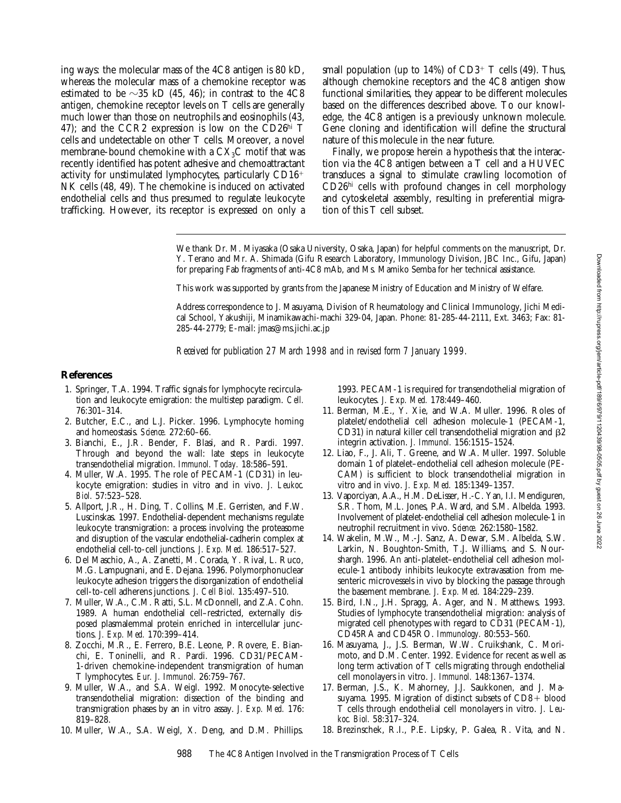ing ways: the molecular mass of the 4C8 antigen is 80 kD, whereas the molecular mass of a chemokine receptor was estimated to be  $\sim$ 35 kD (45, 46); in contrast to the 4C8 antigen, chemokine receptor levels on T cells are generally much lower than those on neutrophils and eosinophils (43, 47); and the CCR2 expression is low on the CD26 $^{\text{hi}}$  T cells and undetectable on other T cells. Moreover, a novel membrane-bound chemokine with a  $CX<sub>3</sub>C$  motif that was recently identified has potent adhesive and chemoattractant activity for unstimulated lymphocytes, particularly  $CD16<sup>+</sup>$ NK cells (48, 49). The chemokine is induced on activated endothelial cells and thus presumed to regulate leukocyte trafficking. However, its receptor is expressed on only a

small population (up to  $14\%$ ) of CD3<sup>+</sup> T cells (49). Thus, although chemokine receptors and the 4C8 antigen show functional similarities, they appear to be different molecules based on the differences described above. To our knowledge, the 4C8 antigen is a previously unknown molecule. Gene cloning and identification will define the structural nature of this molecule in the near future.

Finally, we propose herein a hypothesis that the interaction via the 4C8 antigen between a T cell and a HUVEC transduces a signal to stimulate crawling locomotion of CD26hi cells with profound changes in cell morphology and cytoskeletal assembly, resulting in preferential migration of this T cell subset.

We thank Dr. M. Miyasaka (Osaka University, Osaka, Japan) for helpful comments on the manuscript, Dr. Y. Terano and Mr. A. Shimada (Gifu Research Laboratory, Immunology Division, JBC Inc., Gifu, Japan) for preparing Fab fragments of anti-4C8 mAb, and Ms. Mamiko Semba for her technical assistance.

This work was supported by grants from the Japanese Ministry of Education and Ministry of Welfare.

Address correspondence to J. Masuyama, Division of Rheumatology and Clinical Immunology, Jichi Medical School, Yakushiji, Minamikawachi-machi 329-04, Japan. Phone: 81-285-44-2111, Ext. 3463; Fax: 81- 285-44-2779; E-mail: jmas@ms.jichi.ac.jp

*Received for publication 27 March 1998 and in revised form 7 January 1999.*

#### **References**

- 1. Springer, T.A. 1994. Traffic signals for lymphocyte recirculation and leukocyte emigration: the multistep paradigm. *Cell.* 76:301–314.
- 2. Butcher, E.C., and L.J. Picker. 1996. Lymphocyte homing and homeostasis. *Science.* 272:60–66.
- 3. Bianchi, E., J.R. Bender, F. Blasi, and R. Pardi. 1997. Through and beyond the wall: late steps in leukocyte transendothelial migration. *Immunol. Today.* 18:586–591.
- 4. Muller, W.A. 1995. The role of PECAM-1 (CD31) in leukocyte emigration: studies in vitro and in vivo. *J. Leukoc. Biol.* 57:523–528.
- 5. Allport, J.R., H. Ding, T. Collins, M.E. Gerristen, and F.W. Luscinskas. 1997. Endothelial-dependent mechanisms regulate leukocyte transmigration: a process involving the proteasome and disruption of the vascular endothelial-cadherin complex at endothelial cell-to-cell junctions. *J. Exp. Med.* 186:517–527.
- 6. Del Maschio, A., A. Zanetti, M. Corada, Y. Rival, L. Ruco, M.G. Lampugnani, and E. Dejana. 1996. Polymorphonuclear leukocyte adhesion triggers the disorganization of endothelial cell-to-cell adherens junctions*. J. Cell Biol.* 135:497–510.
- 7. Muller, W.A., C.M. Ratti, S.L. McDonnell, and Z.A. Cohn. 1989. A human endothelial cell–restricted, externally disposed plasmalemmal protein enriched in intercellular junctions. *J. Exp. Med.* 170:399–414.
- 8. Zocchi, M.R., E. Ferrero, B.E. Leone, P. Rovere, E. Bianchi, E. Toninelli, and R. Pardi. 1996. CD31/PECAM-1-driven chemokine-independent transmigration of human T lymphocytes. *Eur. J. Immunol.* 26:759–767.
- 9. Muller, W.A., and S.A. Weigl. 1992. Monocyte-selective transendothelial migration: dissection of the binding and transmigration phases by an in vitro assay. *J. Exp. Med.* 176: 819–828.
- 10. Muller, W.A., S.A. Weigl, X. Deng, and D.M. Phillips.

1993. PECAM-1 is required for transendothelial migration of leukocytes. *J. Exp. Med.* 178:449–460.

- 11. Berman, M.E., Y. Xie, and W.A. Muller. 1996. Roles of platelet/endothelial cell adhesion molecule-1 (PECAM-1, CD31) in natural killer cell transendothelial migration and  $\beta$ 2 integrin activation. *J. Immunol.* 156:1515–1524.
- 12. Liao, F., J. Ali, T. Greene, and W.A. Muller. 1997. Soluble domain 1 of platelet–endothelial cell adhesion molecule (PE-CAM) is sufficient to block transendothelial migration in vitro and in vivo. *J. Exp. Med.* 185:1349–1357.
- 13. Vaporciyan, A.A., H.M. DeLisser, H.-C. Yan, I.I. Mendiguren, S.R. Thom, M.L. Jones, P.A. Ward, and S.M. Albelda. 1993. Involvement of platelet-endothelial cell adhesion molecule-1 in neutrophil recruitment in vivo. *Science.* 262:1580–1582.
- 14. Wakelin, M.W., M.-J. Sanz, A. Dewar, S.M. Albelda, S.W. Larkin, N. Boughton-Smith, T.J. Williams, and S. Nourshargh. 1996. An anti-platelet–endothelial cell adhesion molecule-1 antibody inhibits leukocyte extravasation from mesenteric microvessels in vivo by blocking the passage through the basement membrane. *J. Exp. Med.* 184:229–239.
- 15. Bird, I.N., J.H. Spragg, A. Ager, and N. Matthews. 1993. Studies of lymphocyte transendothelial migration: analysis of migrated cell phenotypes with regard to CD31 (PECAM-1), CD45RA and CD45RO. *Immunology.* 80:553–560.
- 16. Masuyama, J., J.S. Berman, W.W. Cruikshank, C. Morimoto, and D.M. Center. 1992. Evidence for recent as well as long term activation of T cells migrating through endothelial cell monolayers in vitro. *J. Immunol.* 148:1367–1374.
- 17. Berman, J.S., K. Mahorney, J.J. Saukkonen, and J. Masuyama. 1995. Migration of distinct subsets of  $CD8 + blood$ T cells through endothelial cell monolayers in vitro. *J. Leukoc. Biol.* 58:317–324.
- 18. Brezinschek, R.I., P.E. Lipsky, P. Galea, R. Vita, and N.